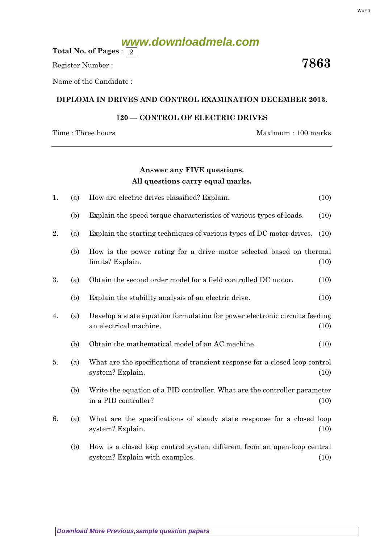# **www.downloadmela.com**

Total No. of Pages :  $\mid 2 \rangle$ 

Register Number :  $\overline{\hspace{1.6cm}7863}$ 

Name of the Candidate :

### DIPLOMA IN DRIVES AND CONTROL EXAMINATION DECEMBER 2013.

## 120 — CONTROL OF ELECTRIC DRIVES

Time : Three hours Maximum : 100 marks

### Answer any FIVE questions. All questions carry equal marks.

| 1. | (a)                                                                                                    | How are electric drives classified? Explain.                                                              | (10) |
|----|--------------------------------------------------------------------------------------------------------|-----------------------------------------------------------------------------------------------------------|------|
|    | (b)                                                                                                    | Explain the speed torque characteristics of various types of loads.                                       | (10) |
| 2. | (a)                                                                                                    | Explain the starting techniques of various types of DC motor drives.                                      | (10) |
|    | (b)                                                                                                    | How is the power rating for a drive motor selected based on thermal<br>limits? Explain.                   | (10) |
| 3. | (a)                                                                                                    | Obtain the second order model for a field controlled DC motor.                                            | (10) |
|    | (b)                                                                                                    | Explain the stability analysis of an electric drive.                                                      | (10) |
| 4. | (a)                                                                                                    | Develop a state equation formulation for power electronic circuits feeding<br>an electrical machine.      | (10) |
|    | (b)                                                                                                    | Obtain the mathematical model of an AC machine.                                                           | (10) |
| 5. | What are the specifications of transient response for a closed loop control<br>(a)<br>system? Explain. |                                                                                                           | (10) |
|    | (b)                                                                                                    | Write the equation of a PID controller. What are the controller parameter<br>in a PID controller?         | (10) |
| 6. | (a)                                                                                                    | What are the specifications of steady state response for a closed loop<br>system? Explain.                | (10) |
|    | (b)                                                                                                    | How is a closed loop control system different from an open-loop central<br>system? Explain with examples. | (10) |